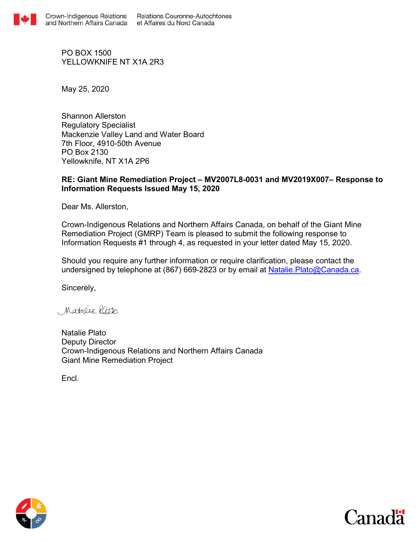

PO BOX 1500 YFLLOWKNIFF NT X1A 2R3

May 25, 2020

Shannon Allerston Regulatory Specialist Mackenzie Valley Land and Water Board 7th Floor, 4910-50th Avenue PO Box 2130 Yellowknife, NT X1A 2P6

## **RE: Giant Mine Remediation Project – MV2007L8-0031 and MV2019X007– Response to Information Requests Issued May 15, 2020**

Dear Ms. Allerston,

Crown-Indigenous Relations and Northern Affairs Canada, on behalf of the Giant Mine Remediation Project (GMRP) Team is pleased to submit the following response to Information Requests #1 through 4, as requested in your letter dated May 15, 2020.

Should you require any further information or require clarification, please contact the undersigned by telephone at (867) 669-2823 or by email at Natalie. Plato@Canada.ca.

Sincerely,

Matalee lasto

Natalie Plato Deputy Director Crown-Indigenous Relations and Northern Affairs Canada Giant Mine Remediation Project

Encl.



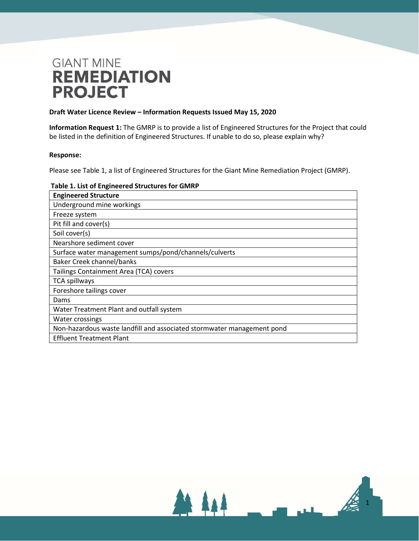### **Draft Water Licence Review – Information Requests Issued May 15, 2020**

**Information Request 1:** The GMRP is to provide a list of Engineered Structures for the Project that could be listed in the definition of Engineered Structures. If unable to do so, please explain why?

### **Response:**

Please see Table 1, a list of Engineered Structures for the Giant Mine Remediation Project (GMRP).

### **Table 1. List of Engineered Structures for GMRP**

| <b>Engineered Structure</b>                                            |
|------------------------------------------------------------------------|
| Underground mine workings                                              |
| Freeze system                                                          |
| Pit fill and cover(s)                                                  |
| Soil cover(s)                                                          |
| Nearshore sediment cover                                               |
| Surface water management sumps/pond/channels/culverts                  |
| <b>Baker Creek channel/banks</b>                                       |
| Tailings Containment Area (TCA) covers                                 |
| <b>TCA spillways</b>                                                   |
| Foreshore tailings cover                                               |
| Dams                                                                   |
| Water Treatment Plant and outfall system                               |
| <b>Water crossings</b>                                                 |
| Non-hazardous waste landfill and associated stormwater management pond |
| <b>Effluent Treatment Plant</b>                                        |

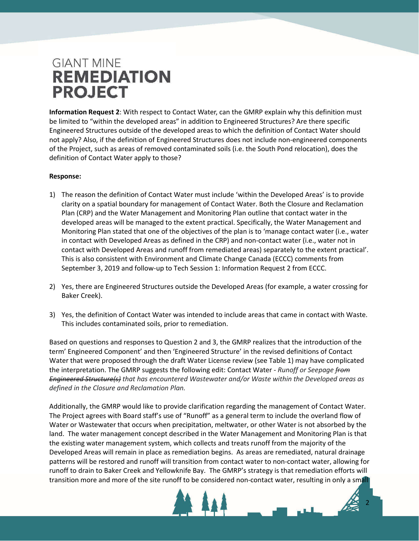**Information Request 2**: With respect to Contact Water, can the GMRP explain why this definition must be limited to "within the developed areas" in addition to Engineered Structures? Are there specific Engineered Structures outside of the developed areas to which the definition of Contact Water should not apply? Also, if the definition of Engineered Structures does not include non-engineered components of the Project, such as areas of removed contaminated soils (i.e. the South Pond relocation), does the definition of Contact Water apply to those?

## **Response:**

- 1) The reason the definition of Contact Water must include 'within the Developed Areas' is to provide clarity on a spatial boundary for management of Contact Water. Both the Closure and Reclamation Plan (CRP) and the Water Management and Monitoring Plan outline that contact water in the developed areas will be managed to the extent practical. Specifically, the Water Management and Monitoring Plan stated that one of the objectives of the plan is to 'manage contact water (i.e., water in contact with Developed Areas as defined in the CRP) and non-contact water (i.e., water not in contact with Developed Areas and runoff from remediated areas) separately to the extent practical'. This is also consistent with Environment and Climate Change Canada (ECCC) comments from September 3, 2019 and follow-up to Tech Session 1: Information Request 2 from ECCC.
- 2) Yes, there are Engineered Structures outside the Developed Areas (for example, a water crossing for Baker Creek).
- 3) Yes, the definition of Contact Water was intended to include areas that came in contact with Waste. This includes contaminated soils, prior to remediation.

Based on questions and responses to Question 2 and 3, the GMRP realizes that the introduction of the term' Engineered Component' and then 'Engineered Structure' in the revised definitions of Contact Water that were proposed through the draft Water License review (see Table 1) may have complicated the interpretation. The GMRP suggests the following edit: Contact Water - *Runoff or Seepage from Engineered Structure(s) that has encountered Wastewater and/or Waste within the Developed areas as defined in the Closure and Reclamation Plan.* 

Additionally, the GMRP would like to provide clarification regarding the management of Contact Water. The Project agrees with Board staff's use of "Runoff" as a general term to include the overland flow of Water or Wastewater that occurs when precipitation, meltwater, or other Water is not absorbed by the land. The water management concept described in the Water Management and Monitoring Plan is that the existing water management system, which collects and treats runoff from the majority of the Developed Areas will remain in place as remediation begins. As areas are remediated, natural drainage patterns will be restored and runoff will transition from contact water to non-contact water, allowing for runoff to drain to Baker Creek and Yellowknife Bay. The GMRP's strategy is that remediation efforts will transition more and more of the site runoff to be considered non-contact water, resulting in only a small

2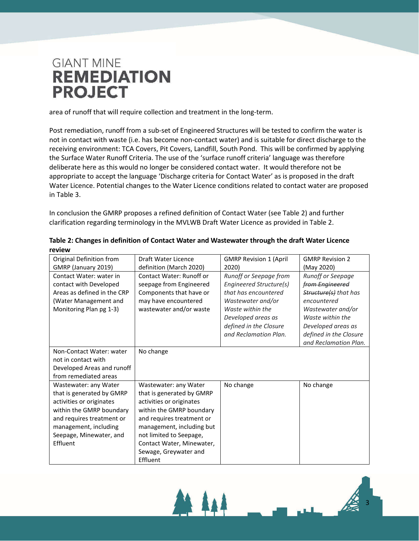area of runoff that will require collection and treatment in the long-term.

Post remediation, runoff from a sub-set of Engineered Structures will be tested to confirm the water is not in contact with waste (i.e. has become non-contact water) and is suitable for direct discharge to the receiving environment: TCA Covers, Pit Covers, Landfill, South Pond. This will be confirmed by applying the Surface Water Runoff Criteria. The use of the 'surface runoff criteria' language was therefore deliberate here as this would no longer be considered contact water. It would therefore not be appropriate to accept the language 'Discharge criteria for Contact Water' as is proposed in the draft Water Licence. Potential changes to the Water Licence conditions related to contact water are proposed in Table 3.

In conclusion the GMRP proposes a refined definition of Contact Water (see Table 2) and further clarification regarding terminology in the MVLWB Draft Water Licence as provided in Table 2.

| Original Definition from    | Draft Water Licence             | <b>GMRP Revision 1 (April</b> | <b>GMRP Revision 2</b>   |
|-----------------------------|---------------------------------|-------------------------------|--------------------------|
| GMRP (January 2019)         | definition (March 2020)         | 2020)                         | (May 2020)               |
| Contact Water: water in     | <b>Contact Water: Runoff or</b> | Runoff or Seepage from        | <b>Runoff or Seepage</b> |
| contact with Developed      | seepage from Engineered         | Engineered Structure(s)       | from Engineered          |
| Areas as defined in the CRP | Components that have or         | that has encountered          | Structure(s) that has    |
| (Water Management and       | may have encountered            | Wastewater and/or             | encountered              |
| Monitoring Plan pg 1-3)     | wastewater and/or waste         | Waste within the              | Wastewater and/or        |
|                             |                                 | Developed areas as            | Waste within the         |
|                             |                                 | defined in the Closure        | Developed areas as       |
|                             |                                 | and Reclamation Plan.         | defined in the Closure   |
|                             |                                 |                               | and Reclamation Plan.    |
| Non-Contact Water: water    | No change                       |                               |                          |
| not in contact with         |                                 |                               |                          |
| Developed Areas and runoff  |                                 |                               |                          |
| from remediated areas       |                                 |                               |                          |
| Wastewater: any Water       | Wastewater: any Water           | No change                     | No change                |
| that is generated by GMRP   | that is generated by GMRP       |                               |                          |
| activities or originates    | activities or originates        |                               |                          |
| within the GMRP boundary    | within the GMRP boundary        |                               |                          |
| and requires treatment or   | and requires treatment or       |                               |                          |
| management, including       | management, including but       |                               |                          |
| Seepage, Minewater, and     | not limited to Seepage,         |                               |                          |
| Effluent                    | Contact Water, Minewater,       |                               |                          |
|                             | Sewage, Greywater and           |                               |                          |
|                             | Effluent                        |                               |                          |

| Table 2: Changes in definition of Contact Water and Wastewater through the draft Water Licence |  |
|------------------------------------------------------------------------------------------------|--|
| review                                                                                         |  |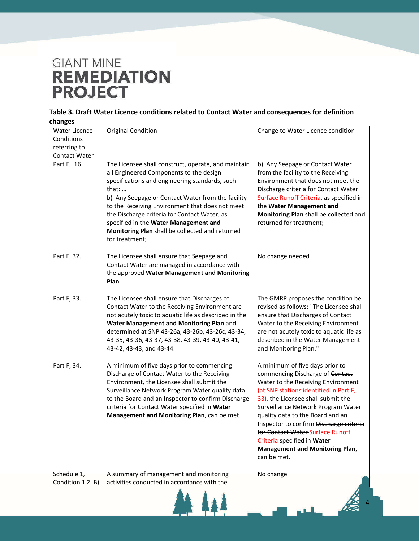| Table 3. Draft Water Licence conditions related to Contact Water and consequences for definition |  |
|--------------------------------------------------------------------------------------------------|--|
| changes                                                                                          |  |

| <b>Water Licence</b>             | <b>Original Condition</b>                                                                                                                                                                                                                                                                                                                                                                                                               | Change to Water Licence condition                                                                                                                                                                                                                                                                                                                                                                                                         |
|----------------------------------|-----------------------------------------------------------------------------------------------------------------------------------------------------------------------------------------------------------------------------------------------------------------------------------------------------------------------------------------------------------------------------------------------------------------------------------------|-------------------------------------------------------------------------------------------------------------------------------------------------------------------------------------------------------------------------------------------------------------------------------------------------------------------------------------------------------------------------------------------------------------------------------------------|
| Conditions                       |                                                                                                                                                                                                                                                                                                                                                                                                                                         |                                                                                                                                                                                                                                                                                                                                                                                                                                           |
| referring to                     |                                                                                                                                                                                                                                                                                                                                                                                                                                         |                                                                                                                                                                                                                                                                                                                                                                                                                                           |
| Contact Water                    |                                                                                                                                                                                                                                                                                                                                                                                                                                         |                                                                                                                                                                                                                                                                                                                                                                                                                                           |
| Part F, 16.                      | The Licensee shall construct, operate, and maintain<br>all Engineered Components to the design<br>specifications and engineering standards, such<br>that: $\dots$<br>b) Any Seepage or Contact Water from the facility<br>to the Receiving Environment that does not meet<br>the Discharge criteria for Contact Water, as<br>specified in the Water Management and<br>Monitoring Plan shall be collected and returned<br>for treatment; | b) Any Seepage or Contact Water<br>from the facility to the Receiving<br>Environment that does not meet the<br>Discharge criteria for Contact Water<br>Surface Runoff Criteria, as specified in<br>the Water Management and<br>Monitoring Plan shall be collected and<br>returned for treatment;                                                                                                                                          |
| Part F, 32.                      | The Licensee shall ensure that Seepage and<br>Contact Water are managed in accordance with<br>the approved Water Management and Monitoring<br>Plan.                                                                                                                                                                                                                                                                                     | No change needed                                                                                                                                                                                                                                                                                                                                                                                                                          |
| Part F, 33.                      | The Licensee shall ensure that Discharges of<br>Contact Water to the Receiving Environment are<br>not acutely toxic to aquatic life as described in the<br>Water Management and Monitoring Plan and<br>determined at SNP 43-26a, 43-26b, 43-26c, 43-34,<br>43-35, 43-36, 43-37, 43-38, 43-39, 43-40, 43-41,<br>43-42, 43-43, and 43-44.                                                                                                 | The GMRP proposes the condition be<br>revised as follows: "The Licensee shall<br>ensure that Discharges of Contact<br>Water to the Receiving Environment<br>are not acutely toxic to aquatic life as<br>described in the Water Management<br>and Monitoring Plan."                                                                                                                                                                        |
| Part F, 34.                      | A minimum of five days prior to commencing<br>Discharge of Contact Water to the Receiving<br>Environment, the Licensee shall submit the<br>Surveillance Network Program Water quality data<br>to the Board and an Inspector to confirm Discharge<br>criteria for Contact Water specified in Water<br>Management and Monitoring Plan, can be met.                                                                                        | A minimum of five days prior to<br>commencing Discharge of Contact<br>Water to the Receiving Environment<br>(at SNP stations identified in Part F,<br>33), the Licensee shall submit the<br>Surveillance Network Program Water<br>quality data to the Board and an<br>Inspector to confirm Discharge criteria<br>for Contact Water Surface Runoff<br>Criteria specified in Water<br><b>Management and Monitoring Plan,</b><br>can be met. |
| Schedule 1,<br>Condition 1 2. B) | A summary of management and monitoring<br>activities conducted in accordance with the                                                                                                                                                                                                                                                                                                                                                   | No change                                                                                                                                                                                                                                                                                                                                                                                                                                 |

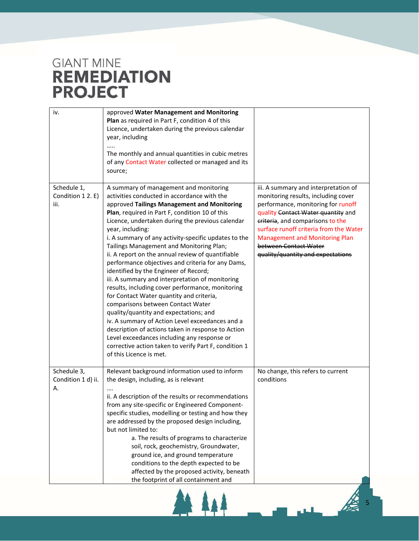| iv.                                     | approved Water Management and Monitoring<br>Plan as required in Part F, condition 4 of this<br>Licence, undertaken during the previous calendar<br>year, including<br>The monthly and annual quantities in cubic metres<br>of any Contact Water collected or managed and its<br>source;                                                                                                                                                                                                                                                                                                                                                                                                                                                                                                                                                                                                                                                                                                             |                                                                                                                                                                                                                                                                                                                                              |
|-----------------------------------------|-----------------------------------------------------------------------------------------------------------------------------------------------------------------------------------------------------------------------------------------------------------------------------------------------------------------------------------------------------------------------------------------------------------------------------------------------------------------------------------------------------------------------------------------------------------------------------------------------------------------------------------------------------------------------------------------------------------------------------------------------------------------------------------------------------------------------------------------------------------------------------------------------------------------------------------------------------------------------------------------------------|----------------------------------------------------------------------------------------------------------------------------------------------------------------------------------------------------------------------------------------------------------------------------------------------------------------------------------------------|
| Schedule 1,<br>Condition 12. E)<br>iii. | A summary of management and monitoring<br>activities conducted in accordance with the<br>approved Tailings Management and Monitoring<br>Plan, required in Part F, condition 10 of this<br>Licence, undertaken during the previous calendar<br>year, including:<br>i. A summary of any activity-specific updates to the<br>Tailings Management and Monitoring Plan;<br>ii. A report on the annual review of quantifiable<br>performance objectives and criteria for any Dams,<br>identified by the Engineer of Record;<br>iii. A summary and interpretation of monitoring<br>results, including cover performance, monitoring<br>for Contact Water quantity and criteria,<br>comparisons between Contact Water<br>quality/quantity and expectations; and<br>iv. A summary of Action Level exceedances and a<br>description of actions taken in response to Action<br>Level exceedances including any response or<br>corrective action taken to verify Part F, condition 1<br>of this Licence is met. | iii. A summary and interpretation of<br>monitoring results, including cover<br>performance, monitoring for runoff<br>quality Contact Water quantity and<br>eriteria, and comparisons to the<br>surface runoff criteria from the Water<br><b>Management and Monitoring Plan</b><br>between Contact Water<br>quality/quantity and expectations |
| Schedule 3,<br>Condition 1 d) ii.<br>Α. | Relevant background information used to inform<br>the design, including, as is relevant<br>ii. A description of the results or recommendations<br>from any site-specific or Engineered Component-<br>specific studies, modelling or testing and how they<br>are addressed by the proposed design including,<br>but not limited to:<br>a. The results of programs to characterize<br>soil, rock, geochemistry, Groundwater,<br>ground ice, and ground temperature<br>conditions to the depth expected to be<br>affected by the proposed activity, beneath<br>the footprint of all containment and                                                                                                                                                                                                                                                                                                                                                                                                    | No change, this refers to current<br>conditions                                                                                                                                                                                                                                                                                              |

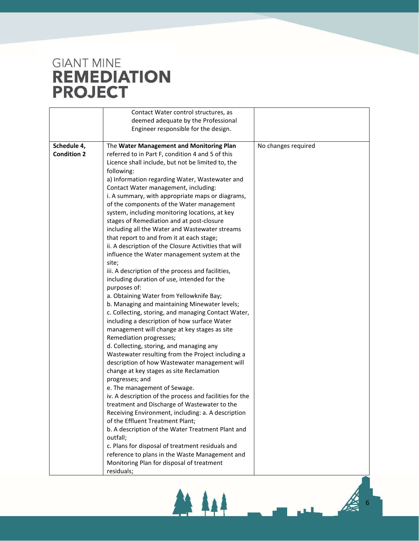|                    | Contact Water control structures, as                    |                     |
|--------------------|---------------------------------------------------------|---------------------|
|                    | deemed adequate by the Professional                     |                     |
|                    | Engineer responsible for the design.                    |                     |
|                    |                                                         |                     |
| Schedule 4,        | The Water Management and Monitoring Plan                | No changes required |
| <b>Condition 2</b> | referred to in Part F, condition 4 and 5 of this        |                     |
|                    | Licence shall include, but not be limited to, the       |                     |
|                    | following:                                              |                     |
|                    | a) Information regarding Water, Wastewater and          |                     |
|                    | Contact Water management, including:                    |                     |
|                    | i. A summary, with appropriate maps or diagrams,        |                     |
|                    | of the components of the Water management               |                     |
|                    | system, including monitoring locations, at key          |                     |
|                    | stages of Remediation and at post-closure               |                     |
|                    | including all the Water and Wastewater streams          |                     |
|                    | that report to and from it at each stage;               |                     |
|                    | ii. A description of the Closure Activities that will   |                     |
|                    | influence the Water management system at the            |                     |
|                    | site;                                                   |                     |
|                    | iii. A description of the process and facilities,       |                     |
|                    | including duration of use, intended for the             |                     |
|                    | purposes of:                                            |                     |
|                    | a. Obtaining Water from Yellowknife Bay;                |                     |
|                    | b. Managing and maintaining Minewater levels;           |                     |
|                    | c. Collecting, storing, and managing Contact Water,     |                     |
|                    | including a description of how surface Water            |                     |
|                    | management will change at key stages as site            |                     |
|                    | Remediation progresses;                                 |                     |
|                    | d. Collecting, storing, and managing any                |                     |
|                    | Wastewater resulting from the Project including a       |                     |
|                    | description of how Wastewater management will           |                     |
|                    | change at key stages as site Reclamation                |                     |
|                    | progresses; and                                         |                     |
|                    | e. The management of Sewage.                            |                     |
|                    | iv. A description of the process and facilities for the |                     |
|                    | treatment and Discharge of Wastewater to the            |                     |
|                    | Receiving Environment, including: a. A description      |                     |
|                    | of the Effluent Treatment Plant;                        |                     |
|                    | b. A description of the Water Treatment Plant and       |                     |
|                    | outfall;                                                |                     |
|                    | c. Plans for disposal of treatment residuals and        |                     |
|                    | reference to plans in the Waste Management and          |                     |
|                    | Monitoring Plan for disposal of treatment               |                     |
|                    | residuals;                                              |                     |

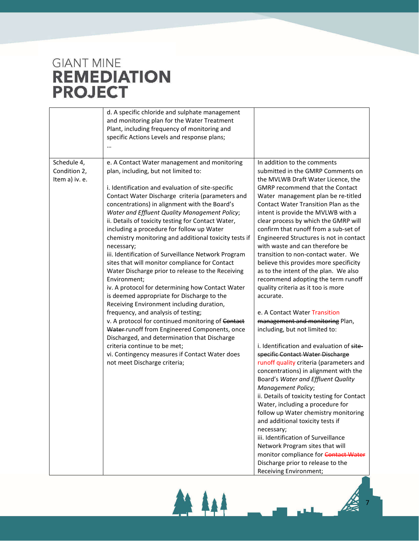|                                               | d. A specific chloride and sulphate management<br>and monitoring plan for the Water Treatment<br>Plant, including frequency of monitoring and<br>specific Actions Levels and response plans;                                                                                                                                                                                                                                                                                                                                                                                                                                                                                                                                                                                                                                                                                                                                                                                                                                                                                                                          |                                                                                                                                                                                                                                                                                                                                                                                                                                                                                                                                                                                                                                                                                                                                                                                                                                                                                                                                                                                                                                                                                                                                                                                                                                                                                                                                                                    |
|-----------------------------------------------|-----------------------------------------------------------------------------------------------------------------------------------------------------------------------------------------------------------------------------------------------------------------------------------------------------------------------------------------------------------------------------------------------------------------------------------------------------------------------------------------------------------------------------------------------------------------------------------------------------------------------------------------------------------------------------------------------------------------------------------------------------------------------------------------------------------------------------------------------------------------------------------------------------------------------------------------------------------------------------------------------------------------------------------------------------------------------------------------------------------------------|--------------------------------------------------------------------------------------------------------------------------------------------------------------------------------------------------------------------------------------------------------------------------------------------------------------------------------------------------------------------------------------------------------------------------------------------------------------------------------------------------------------------------------------------------------------------------------------------------------------------------------------------------------------------------------------------------------------------------------------------------------------------------------------------------------------------------------------------------------------------------------------------------------------------------------------------------------------------------------------------------------------------------------------------------------------------------------------------------------------------------------------------------------------------------------------------------------------------------------------------------------------------------------------------------------------------------------------------------------------------|
| Schedule 4,<br>Condition 2,<br>Item a) iv. e. | e. A Contact Water management and monitoring<br>plan, including, but not limited to:<br>i. Identification and evaluation of site-specific<br>Contact Water Discharge criteria (parameters and<br>concentrations) in alignment with the Board's<br>Water and Effluent Quality Management Policy;<br>ii. Details of toxicity testing for Contact Water,<br>including a procedure for follow up Water<br>chemistry monitoring and additional toxicity tests if<br>necessary;<br>iii. Identification of Surveillance Network Program<br>sites that will monitor compliance for Contact<br>Water Discharge prior to release to the Receiving<br>Environment;<br>iv. A protocol for determining how Contact Water<br>is deemed appropriate for Discharge to the<br>Receiving Environment including duration,<br>frequency, and analysis of testing;<br>v. A protocol for continued monitoring of Contact<br>Water-runoff from Engineered Components, once<br>Discharged, and determination that Discharge<br>criteria continue to be met;<br>vi. Contingency measures if Contact Water does<br>not meet Discharge criteria; | In addition to the comments<br>submitted in the GMRP Comments on<br>the MVLWB Draft Water Licence, the<br><b>GMRP</b> recommend that the Contact<br>Water management plan be re-titled<br>Contact Water Transition Plan as the<br>intent is provide the MVLWB with a<br>clear process by which the GMRP will<br>confirm that runoff from a sub-set of<br>Engineered Structures is not in contact<br>with waste and can therefore be<br>transition to non-contact water. We<br>believe this provides more specificity<br>as to the intent of the plan. We also<br>recommend adopting the term runoff<br>quality criteria as it too is more<br>accurate.<br>e. A Contact Water Transition<br>management and monitoring Plan,<br>including, but not limited to:<br>i. Identification and evaluation of site-<br>specific Contact Water Discharge<br>runoff quality criteria (parameters and<br>concentrations) in alignment with the<br>Board's Water and Effluent Quality<br>Management Policy;<br>ii. Details of toxicity testing for Contact<br>Water, including a procedure for<br>follow up Water chemistry monitoring<br>and additional toxicity tests if<br>necessary;<br>iii. Identification of Surveillance<br>Network Program sites that will<br>monitor compliance for <b>Contact Water</b><br>Discharge prior to release to the<br>Receiving Environment; |

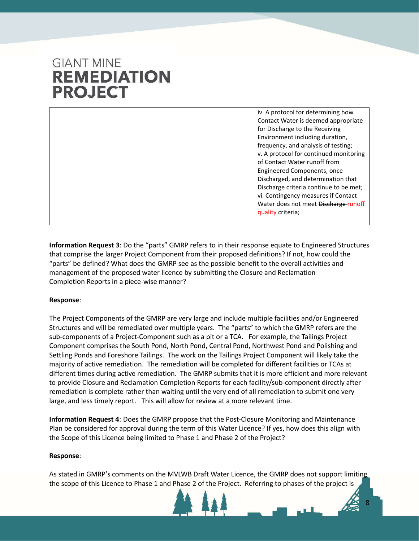iv. A protocol for determining how Contact Water is deemed appropriate for Discharge to the Receiving Environment including duration, frequency, and analysis of testing; v. A protocol for continued monitoring of Contact Water-runoff from Engineered Components, once Discharged, and determination that Discharge criteria continue to be met; vi. Contingency measures if Contact Water does not meet Discharge runoff quality criteria;

**Information Request 3**: Do the "parts" GMRP refers to in their response equate to Engineered Structures that comprise the larger Project Component from their proposed definitions? If not, how could the "parts" be defined? What does the GMRP see as the possible benefit to the overall activities and management of the proposed water licence by submitting the Closure and Reclamation Completion Reports in a piece-wise manner?

## **Response**:

The Project Components of the GMRP are very large and include multiple facilities and/or Engineered Structures and will be remediated over multiple years. The "parts" to which the GMRP refers are the sub-components of a Project-Component such as a pit or a TCA. For example, the Tailings Project Component comprises the South Pond, North Pond, Central Pond, Northwest Pond and Polishing and Settling Ponds and Foreshore Tailings. The work on the Tailings Project Component will likely take the majority of active remediation. The remediation will be completed for different facilities or TCAs at different times during active remediation. The GMRP submits that it is more efficient and more relevant to provide Closure and Reclamation Completion Reports for each facility/sub-component directly after remediation is complete rather than waiting until the very end of all remediation to submit one very large, and less timely report. This will allow for review at a more relevant time.

**Information Request 4**: Does the GMRP propose that the Post-Closure Monitoring and Maintenance Plan be considered for approval during the term of this Water Licence? If yes, how does this align with the Scope of this Licence being limited to Phase 1 and Phase 2 of the Project?

### **Response**:

As stated in GMRP's comments on the MVLWB Draft Water Licence, the GMRP does not support limiting the scope of this Licence to Phase 1 and Phase 2 of the Project. Referring to phases of the project is